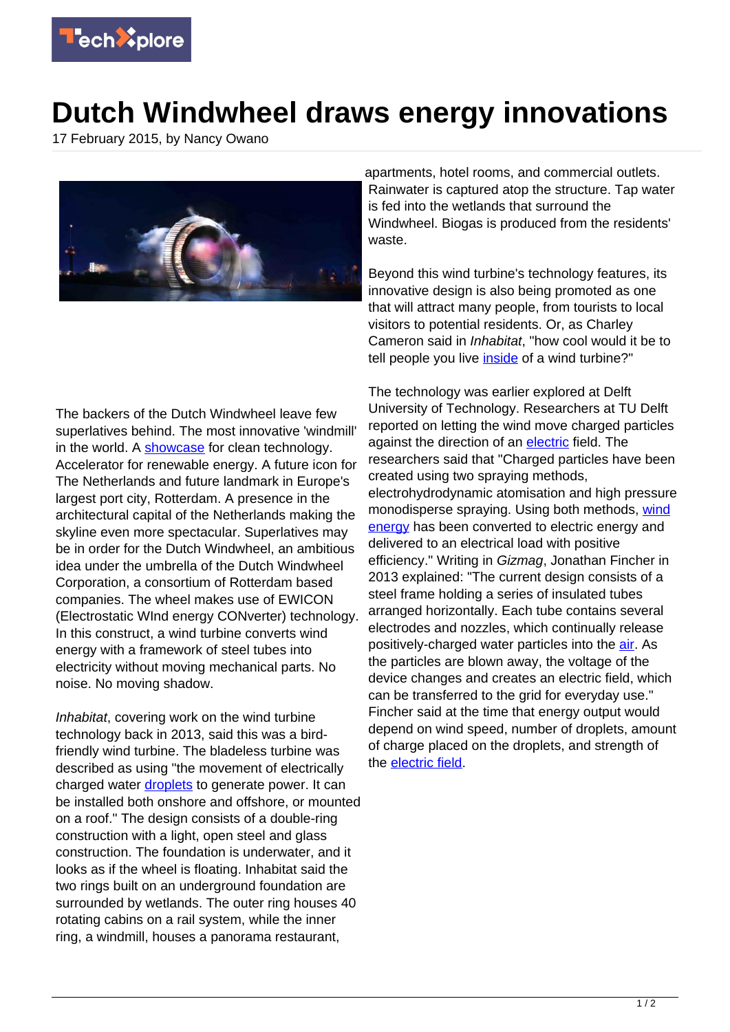

## **Dutch Windwheel draws energy innovations**

17 February 2015, by Nancy Owano



The backers of the Dutch Windwheel leave few superlatives behind. The most innovative 'windmill' in the world. A [showcase](http://thedutchwindwheel.com/en/index) for clean technology. Accelerator for renewable energy. A future icon for The Netherlands and future landmark in Europe's largest port city, Rotterdam. A presence in the architectural capital of the Netherlands making the skyline even more spectacular. Superlatives may be in order for the Dutch Windwheel, an ambitious idea under the umbrella of the Dutch Windwheel Corporation, a consortium of Rotterdam based companies. The wheel makes use of EWICON (Electrostatic WInd energy CONverter) technology. In this construct, a wind turbine converts wind energy with a framework of steel tubes into electricity without moving mechanical parts. No noise. No moving shadow.

Inhabitat, covering work on the wind turbine technology back in 2013, said this was a birdfriendly wind turbine. The bladeless turbine was described as using "the movement of electrically charged water [droplets](http://inhabitat.com/tu-delft-and-mecanoo-unveil-new-bladeless-wind-turbine-design/) to generate power. It can be installed both onshore and offshore, or mounted on a roof." The design consists of a double-ring construction with a light, open steel and glass construction. The foundation is underwater, and it looks as if the wheel is floating. Inhabitat said the two rings built on an underground foundation are surrounded by wetlands. The outer ring houses 40 rotating cabins on a rail system, while the inner ring, a windmill, houses a panorama restaurant,

apartments, hotel rooms, and commercial outlets. Rainwater is captured atop the structure. Tap water is fed into the wetlands that surround the Windwheel. Biogas is produced from the residents' waste.

Beyond this wind turbine's technology features, its innovative design is also being promoted as one that will attract many people, from tourists to local visitors to potential residents. Or, as Charley Cameron said in Inhabitat, "how cool would it be to tell people you live [inside](http://inhabitat.com/the-dutch-windwheel-is-not-only-an-incredible-circular-apartment-building-its-also-a-silent-wind-turbine/) of a wind turbine?"

The technology was earlier explored at Delft University of Technology. Researchers at TU Delft reported on letting the wind move charged particles against the direction of an [electric](http://repository.tudelft.nl/view/ir/uuid%3Ae1cfdada-85ea-45c4-b6e4-b798abf5917e/) field. The researchers said that "Charged particles have been created using two spraying methods, electrohydrodynamic atomisation and high pressure monodisperse spraying. Using both methods, [wind](https://techxplore.com/tags/wind+energy/) [energy](https://techxplore.com/tags/wind+energy/) has been converted to electric energy and delivered to an electrical load with positive efficiency." Writing in Gizmag, Jonathan Fincher in 2013 explained: "The current design consists of a steel frame holding a series of insulated tubes arranged horizontally. Each tube contains several electrodes and nozzles, which continually release positively-charged water particles into the [air](http://www.gizmag.com/ewicon-bladeless-wind-turbine/26907/). As the particles are blown away, the voltage of the device changes and creates an electric field, which can be transferred to the grid for everyday use." Fincher said at the time that energy output would depend on wind speed, number of droplets, amount of charge placed on the droplets, and strength of the [electric field.](https://techxplore.com/tags/electric+field/)